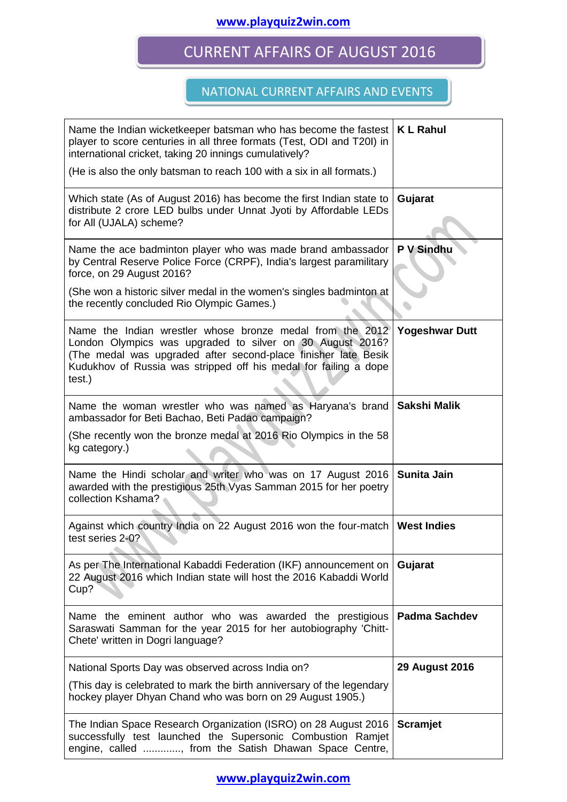#### **www.playquiz2win.com**

# CURRENT AFFAIRS OF AUGUST 2016

#### NATIONAL CURRENT AFFAIRS AND EVENTS

| Name the Indian wicketkeeper batsman who has become the fastest<br>player to score centuries in all three formats (Test, ODI and T20I) in<br>international cricket, taking 20 innings cumulatively?<br>(He is also the only batsman to reach 100 with a six in all formats.) | <b>KL Rahul</b>       |
|------------------------------------------------------------------------------------------------------------------------------------------------------------------------------------------------------------------------------------------------------------------------------|-----------------------|
| Which state (As of August 2016) has become the first Indian state to<br>distribute 2 crore LED bulbs under Unnat Jyoti by Affordable LEDs<br>for All (UJALA) scheme?                                                                                                         | Gujarat               |
| Name the ace badminton player who was made brand ambassador<br>by Central Reserve Police Force (CRPF), India's largest paramilitary<br>force, on 29 August 2016?                                                                                                             | P V Sindhu            |
| (She won a historic silver medal in the women's singles badminton at<br>the recently concluded Rio Olympic Games.)                                                                                                                                                           |                       |
| Name the Indian wrestler whose bronze medal from the 2012<br>London Olympics was upgraded to silver on 30 August 2016?<br>(The medal was upgraded after second-place finisher late Besik<br>Kudukhov of Russia was stripped off his medal for failing a dope<br>test.)       | <b>Yogeshwar Dutt</b> |
| Name the woman wrestler who was named as Haryana's brand<br>ambassador for Beti Bachao, Beti Padao campaign?                                                                                                                                                                 | Sakshi Malik          |
| (She recently won the bronze medal at 2016 Rio Olympics in the 58<br>kg category.)                                                                                                                                                                                           |                       |
| Name the Hindi scholar and writer who was on 17 August 2016<br>awarded with the prestigious 25th Vyas Samman 2015 for her poetry<br>collection Kshama?                                                                                                                       | <b>Sunita Jain</b>    |
| Against which country India on 22 August 2016 won the four-match<br>test series 2-0?                                                                                                                                                                                         | <b>West Indies</b>    |
| As per The International Kabaddi Federation (IKF) announcement on<br>22 August 2016 which Indian state will host the 2016 Kabaddi World<br>Cup?                                                                                                                              | Gujarat               |
| Name the eminent author who was awarded the prestigious<br>Saraswati Samman for the year 2015 for her autobiography 'Chitt-<br>Chete' written in Dogri language?                                                                                                             | <b>Padma Sachdev</b>  |
| National Sports Day was observed across India on?                                                                                                                                                                                                                            | <b>29 August 2016</b> |
| (This day is celebrated to mark the birth anniversary of the legendary<br>hockey player Dhyan Chand who was born on 29 August 1905.)                                                                                                                                         |                       |
| The Indian Space Research Organization (ISRO) on 28 August 2016<br>successfully test launched the Supersonic Combustion Ramjet<br>engine, called , from the Satish Dhawan Space Centre,                                                                                      | <b>Scramjet</b>       |

**www.playquiz2win.com**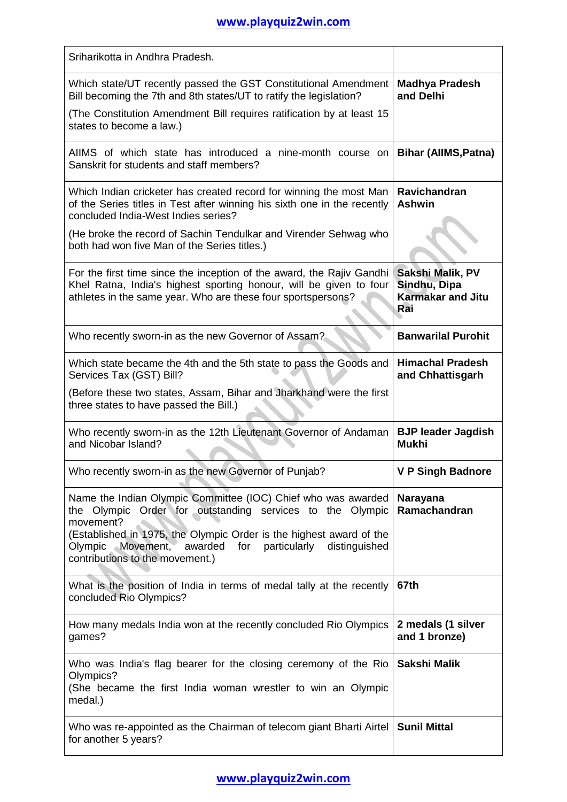## **www.playquiz2win.com**

| Sriharikotta in Andhra Pradesh.                                                                                                                                                                                                                                                                                           |                                                                     |
|---------------------------------------------------------------------------------------------------------------------------------------------------------------------------------------------------------------------------------------------------------------------------------------------------------------------------|---------------------------------------------------------------------|
| Which state/UT recently passed the GST Constitutional Amendment<br>Bill becoming the 7th and 8th states/UT to ratify the legislation?<br>(The Constitution Amendment Bill requires ratification by at least 15                                                                                                            | <b>Madhya Pradesh</b><br>and Delhi                                  |
| states to become a law.)                                                                                                                                                                                                                                                                                                  |                                                                     |
| AIIMS of which state has introduced a nine-month course on<br>Sanskrit for students and staff members?                                                                                                                                                                                                                    | <b>Bihar (AllMS, Patna)</b>                                         |
| Which Indian cricketer has created record for winning the most Man<br>of the Series titles in Test after winning his sixth one in the recently<br>concluded India-West Indies series?                                                                                                                                     | Ravichandran<br><b>Ashwin</b>                                       |
| (He broke the record of Sachin Tendulkar and Virender Sehwag who<br>both had won five Man of the Series titles.)                                                                                                                                                                                                          |                                                                     |
| For the first time since the inception of the award, the Rajiv Gandhi<br>Khel Ratna, India's highest sporting honour, will be given to four<br>athletes in the same year. Who are these four sportspersons?                                                                                                               | Sakshi Malik, PV<br>Sindhu, Dipa<br><b>Karmakar and Jitu</b><br>Rai |
| Who recently sworn-in as the new Governor of Assam?                                                                                                                                                                                                                                                                       | <b>Banwarilal Purohit</b>                                           |
| Which state became the 4th and the 5th state to pass the Goods and<br>Services Tax (GST) Bill?                                                                                                                                                                                                                            | <b>Himachal Pradesh</b><br>and Chhattisgarh                         |
| (Before these two states, Assam, Bihar and Jharkhand were the first<br>three states to have passed the Bill.)                                                                                                                                                                                                             |                                                                     |
| Who recently sworn-in as the 12th Lieutenant Governor of Andaman<br>and Nicobar Island?                                                                                                                                                                                                                                   | <b>BJP leader Jagdish</b><br><b>Mukhi</b>                           |
| Who recently sworn-in as the new Governor of Punjab?                                                                                                                                                                                                                                                                      | <b>V P Singh Badnore</b>                                            |
| Name the Indian Olympic Committee (IOC) Chief who was awarded<br>the Olympic Order for outstanding services to the Olympic<br>movement?<br>(Established in 1975, the Olympic Order is the highest award of the<br>Olympic Movement,<br>awarded<br>for<br>particularly<br>distinguished<br>contributions to the movement.) | Narayana<br>Ramachandran                                            |
| What is the position of India in terms of medal tally at the recently<br>concluded Rio Olympics?                                                                                                                                                                                                                          | 67th                                                                |
| How many medals India won at the recently concluded Rio Olympics<br>games?                                                                                                                                                                                                                                                | 2 medals (1 silver<br>and 1 bronze)                                 |
| Who was India's flag bearer for the closing ceremony of the Rio<br>Olympics?<br>(She became the first India woman wrestler to win an Olympic<br>medal.)                                                                                                                                                                   | Sakshi Malik                                                        |
| Who was re-appointed as the Chairman of telecom giant Bharti Airtel<br>for another 5 years?                                                                                                                                                                                                                               | <b>Sunil Mittal</b>                                                 |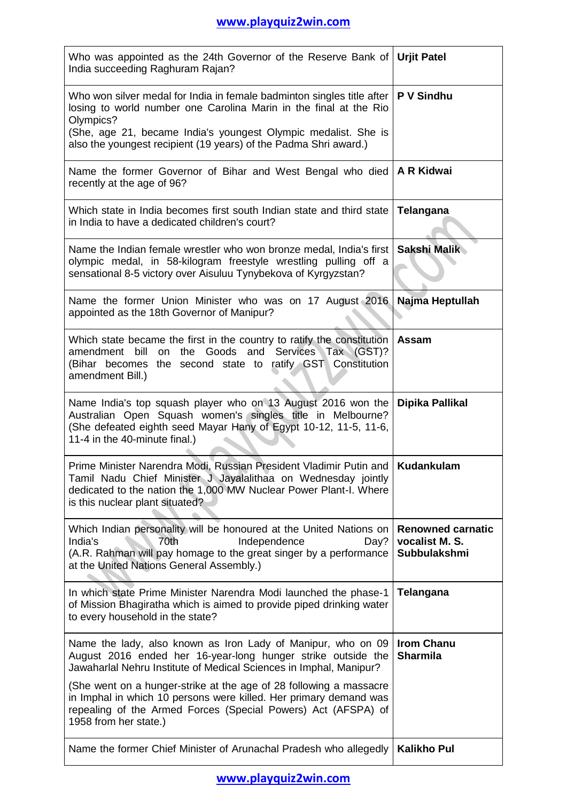| Who was appointed as the 24th Governor of the Reserve Bank of Urjit Patel<br>India succeeding Raghuram Rajan?                                                                                                                                                                                    |                                                            |  |
|--------------------------------------------------------------------------------------------------------------------------------------------------------------------------------------------------------------------------------------------------------------------------------------------------|------------------------------------------------------------|--|
| Who won silver medal for India in female badminton singles title after  <br>losing to world number one Carolina Marin in the final at the Rio<br>Olympics?<br>(She, age 21, became India's youngest Olympic medalist. She is<br>also the youngest recipient (19 years) of the Padma Shri award.) | P V Sindhu                                                 |  |
| Name the former Governor of Bihar and West Bengal who died   A R Kidwai<br>recently at the age of 96?                                                                                                                                                                                            |                                                            |  |
| Which state in India becomes first south Indian state and third state<br>in India to have a dedicated children's court?                                                                                                                                                                          | Telangana                                                  |  |
| Name the Indian female wrestler who won bronze medal, India's first<br>olympic medal, in 58-kilogram freestyle wrestling pulling off a<br>sensational 8-5 victory over Aisuluu Tynybekova of Kyrgyzstan?                                                                                         | Sakshi Malik                                               |  |
| Name the former Union Minister who was on 17 August 2016<br>appointed as the 18th Governor of Manipur?                                                                                                                                                                                           | Najma Heptullah                                            |  |
| Which state became the first in the country to ratify the constitution<br>amendment bill on the Goods and Services Tax (GST)?<br>(Bihar becomes the second state to ratify GST Constitution<br>amendment Bill.)                                                                                  | <b>Assam</b>                                               |  |
| Name India's top squash player who on 13 August 2016 won the<br>Australian Open Squash women's singles title in Melbourne?<br>(She defeated eighth seed Mayar Hany of Egypt 10-12, 11-5, 11-6,<br>11-4 in the 40-minute final.)                                                                  | Dipika Pallikal                                            |  |
| Prime Minister Narendra Modi, Russian President Vladimir Putin and   Kudankulam<br>Tamil Nadu Chief Minister J Jayalalithaa on Wednesday jointly<br>dedicated to the nation the 1,000 MW Nuclear Power Plant-I. Where<br>is this nuclear plant situated?                                         |                                                            |  |
| Which Indian personality will be honoured at the United Nations on<br>India's<br>70th<br>Independence<br>Day?<br>(A.R. Rahman will pay homage to the great singer by a performance<br>at the United Nations General Assembly.)                                                                   | <b>Renowned carnatic</b><br>vocalist M. S.<br>Subbulakshmi |  |
| In which state Prime Minister Narendra Modi launched the phase-1<br>of Mission Bhagiratha which is aimed to provide piped drinking water<br>to every household in the state?                                                                                                                     | Telangana                                                  |  |
| Name the lady, also known as Iron Lady of Manipur, who on 09<br>August 2016 ended her 16-year-long hunger strike outside the<br>Jawaharlal Nehru Institute of Medical Sciences in Imphal, Manipur?                                                                                               | <b>Irom Chanu</b><br><b>Sharmila</b>                       |  |
| (She went on a hunger-strike at the age of 28 following a massacre<br>in Imphal in which 10 persons were killed. Her primary demand was<br>repealing of the Armed Forces (Special Powers) Act (AFSPA) of<br>1958 from her state.)                                                                |                                                            |  |
| Name the former Chief Minister of Arunachal Pradesh who allegedly                                                                                                                                                                                                                                | <b>Kalikho Pul</b>                                         |  |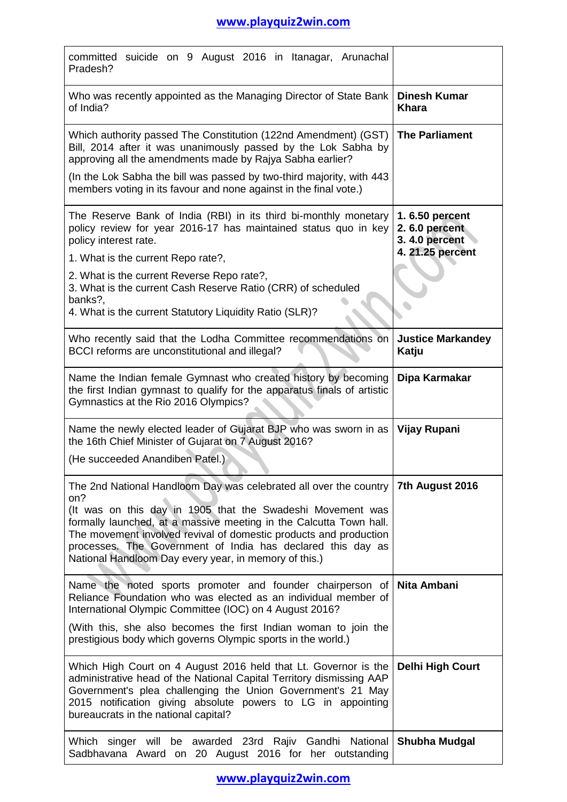| committed suicide on 9 August 2016 in Itanagar, Arunachal<br>Pradesh?                                                                                                                                                                                                                                                                                                                                     |                                                                      |
|-----------------------------------------------------------------------------------------------------------------------------------------------------------------------------------------------------------------------------------------------------------------------------------------------------------------------------------------------------------------------------------------------------------|----------------------------------------------------------------------|
| Who was recently appointed as the Managing Director of State Bank<br>of India?                                                                                                                                                                                                                                                                                                                            | <b>Dinesh Kumar</b><br>Khara                                         |
| Which authority passed The Constitution (122nd Amendment) (GST)<br>Bill, 2014 after it was unanimously passed by the Lok Sabha by<br>approving all the amendments made by Rajya Sabha earlier?                                                                                                                                                                                                            | <b>The Parliament</b>                                                |
| (In the Lok Sabha the bill was passed by two-third majority, with 443<br>members voting in its favour and none against in the final vote.)                                                                                                                                                                                                                                                                |                                                                      |
| The Reserve Bank of India (RBI) in its third bi-monthly monetary<br>policy review for year 2016-17 has maintained status quo in key<br>policy interest rate.                                                                                                                                                                                                                                              | 1.6.50 percent<br>2.6.0 percent<br>3.4.0 percent<br>4. 21.25 percent |
| 1. What is the current Repo rate?,                                                                                                                                                                                                                                                                                                                                                                        |                                                                      |
| 2. What is the current Reverse Repo rate?,<br>3. What is the current Cash Reserve Ratio (CRR) of scheduled<br>banks?,                                                                                                                                                                                                                                                                                     |                                                                      |
| 4. What is the current Statutory Liquidity Ratio (SLR)?                                                                                                                                                                                                                                                                                                                                                   |                                                                      |
| Who recently said that the Lodha Committee recommendations on<br>BCCI reforms are unconstitutional and illegal?                                                                                                                                                                                                                                                                                           | <b>Justice Markandey</b><br>Katju                                    |
| Name the Indian female Gymnast who created history by becoming<br>the first Indian gymnast to qualify for the apparatus finals of artistic<br>Gymnastics at the Rio 2016 Olympics?                                                                                                                                                                                                                        | Dipa Karmakar                                                        |
| Name the newly elected leader of Gujarat BJP who was sworn in as<br>the 16th Chief Minister of Gujarat on 7 August 2016?                                                                                                                                                                                                                                                                                  | Vijay Rupani                                                         |
| (He succeeded Anandiben Patel.)                                                                                                                                                                                                                                                                                                                                                                           |                                                                      |
| The 2nd National Handloom Day was celebrated all over the country<br>on?<br>(It was on this day in 1905 that the Swadeshi Movement was<br>formally launched, at a massive meeting in the Calcutta Town hall.<br>The movement involved revival of domestic products and production<br>processes. The Government of India has declared this day as<br>National Handloom Day every year, in memory of this.) | 7th August 2016                                                      |
| Name the noted sports promoter and founder chairperson of<br>Reliance Foundation who was elected as an individual member of<br>International Olympic Committee (IOC) on 4 August 2016?                                                                                                                                                                                                                    | Nita Ambani                                                          |
| (With this, she also becomes the first Indian woman to join the<br>prestigious body which governs Olympic sports in the world.)                                                                                                                                                                                                                                                                           |                                                                      |
| Which High Court on 4 August 2016 held that Lt. Governor is the<br>administrative head of the National Capital Territory dismissing AAP<br>Government's plea challenging the Union Government's 21 May<br>2015 notification giving absolute powers to LG in appointing<br>bureaucrats in the national capital?                                                                                            | <b>Delhi High Court</b>                                              |
| Which singer will be awarded 23rd Rajiv Gandhi National<br>Sadbhavana Award on 20 August 2016 for her outstanding                                                                                                                                                                                                                                                                                         | <b>Shubha Mudgal</b>                                                 |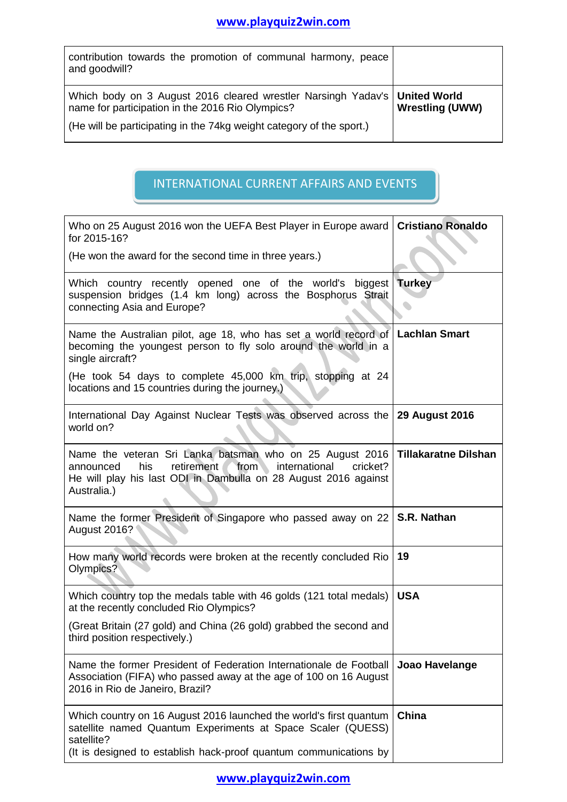| contribution towards the promotion of communal harmony, peace<br>and goodwill?                                                   |                        |
|----------------------------------------------------------------------------------------------------------------------------------|------------------------|
| Which body on 3 August 2016 cleared wrestler Narsingh Yadav's   United World<br>name for participation in the 2016 Rio Olympics? | <b>Wrestling (UWW)</b> |
| (He will be participating in the 74kg weight category of the sport.)                                                             |                        |

### INTERNATIONAL CURRENT AFFAIRS AND EVENTS

| Who on 25 August 2016 won the UEFA Best Player in Europe award<br>for 2015-16?                                                                                                                                       | <b>Cristiano Ronaldo</b>    |
|----------------------------------------------------------------------------------------------------------------------------------------------------------------------------------------------------------------------|-----------------------------|
| (He won the award for the second time in three years.)                                                                                                                                                               |                             |
| Which country recently opened one of the world's<br>biggest<br>suspension bridges (1.4 km long) across the Bosphorus Strait<br>connecting Asia and Europe?                                                           | <b>Turkey</b>               |
| Name the Australian pilot, age 18, who has set a world record of<br>becoming the youngest person to fly solo around the world in a<br>single aircraft?                                                               | <b>Lachlan Smart</b>        |
| (He took 54 days to complete 45,000 km trip, stopping at 24<br>locations and 15 countries during the journey.)                                                                                                       |                             |
| International Day Against Nuclear Tests was observed across the   29 August 2016<br>world on?                                                                                                                        |                             |
| Name the veteran Sri Lanka batsman who on 25 August 2016<br>retirement<br>from<br>international<br>his<br>cricket?<br>announced<br>He will play his last ODI in Dambulla on 28 August 2016 against<br>Australia.)    | <b>Tillakaratne Dilshan</b> |
| Name the former President of Singapore who passed away on 22<br>August 2016?                                                                                                                                         | S.R. Nathan                 |
| How many world records were broken at the recently concluded Rio<br>Olympics?                                                                                                                                        | 19                          |
| Which country top the medals table with 46 golds (121 total medals)<br>at the recently concluded Rio Olympics?                                                                                                       | <b>USA</b>                  |
| (Great Britain (27 gold) and China (26 gold) grabbed the second and<br>third position respectively.)                                                                                                                 |                             |
| Name the former President of Federation Internationale de Football<br>Association (FIFA) who passed away at the age of 100 on 16 August<br>2016 in Rio de Janeiro, Brazil?                                           | Joao Havelange              |
| Which country on 16 August 2016 launched the world's first quantum<br>satellite named Quantum Experiments at Space Scaler (QUESS)<br>satellite?<br>(It is designed to establish hack-proof quantum communications by | China                       |